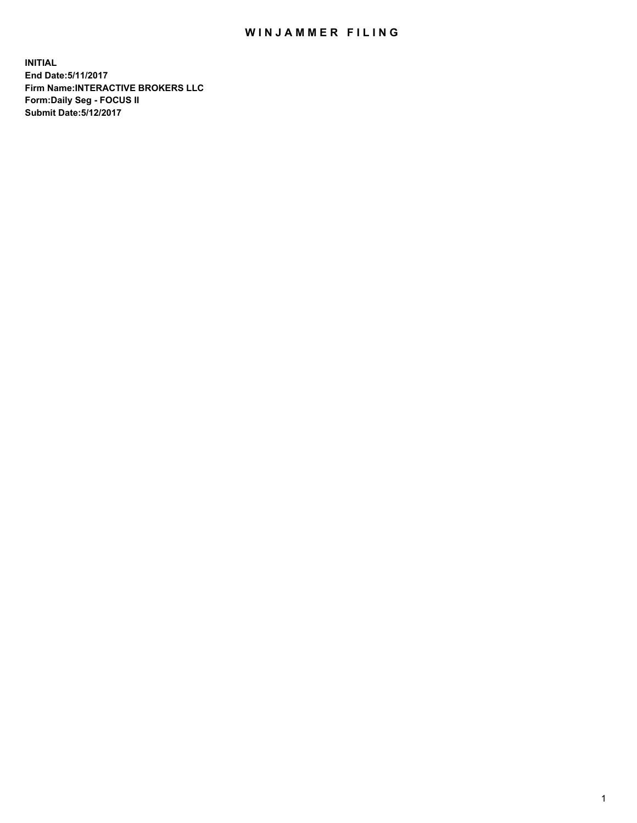## WIN JAMMER FILING

**INITIAL End Date:5/11/2017 Firm Name:INTERACTIVE BROKERS LLC Form:Daily Seg - FOCUS II Submit Date:5/12/2017**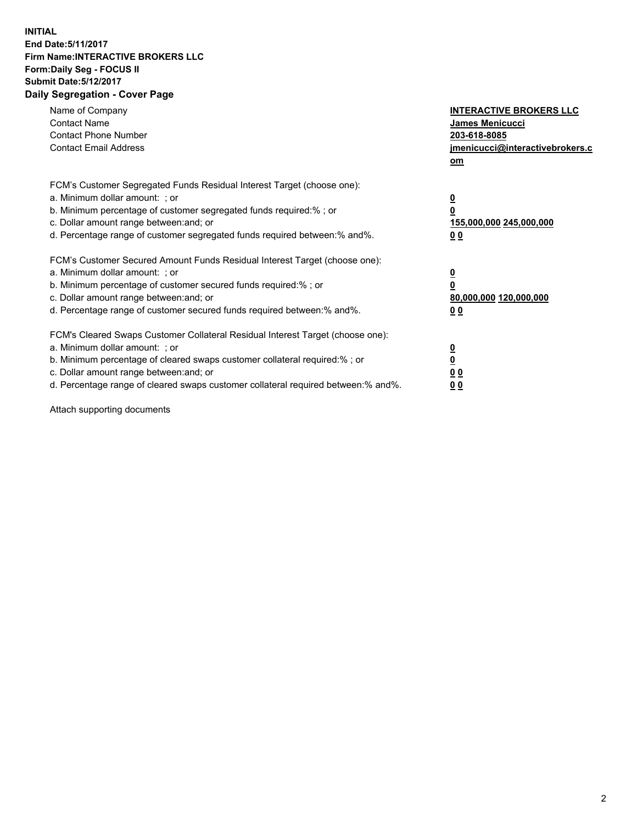## **INITIAL End Date:5/11/2017 Firm Name:INTERACTIVE BROKERS LLC Form:Daily Seg - FOCUS II Submit Date:5/12/2017 Daily Segregation - Cover Page**

| Name of Company<br><b>Contact Name</b><br><b>Contact Phone Number</b><br><b>Contact Email Address</b>                                                                                                                                                                                                                          | <b>INTERACTIVE BROKERS LLC</b><br>James Menicucci<br>203-618-8085<br>jmenicucci@interactivebrokers.c<br>om |
|--------------------------------------------------------------------------------------------------------------------------------------------------------------------------------------------------------------------------------------------------------------------------------------------------------------------------------|------------------------------------------------------------------------------------------------------------|
| FCM's Customer Segregated Funds Residual Interest Target (choose one):<br>a. Minimum dollar amount: ; or<br>b. Minimum percentage of customer segregated funds required:%; or<br>c. Dollar amount range between: and; or<br>d. Percentage range of customer segregated funds required between:% and%.                          | $\overline{\mathbf{0}}$<br>0<br>155,000,000 245,000,000<br>0 <sub>0</sub>                                  |
| FCM's Customer Secured Amount Funds Residual Interest Target (choose one):<br>a. Minimum dollar amount: ; or<br>b. Minimum percentage of customer secured funds required:%; or<br>c. Dollar amount range between: and; or<br>d. Percentage range of customer secured funds required between:% and%.                            | $\overline{\mathbf{0}}$<br>$\overline{\mathbf{0}}$<br>80,000,000 120,000,000<br>00                         |
| FCM's Cleared Swaps Customer Collateral Residual Interest Target (choose one):<br>a. Minimum dollar amount: ; or<br>b. Minimum percentage of cleared swaps customer collateral required:% ; or<br>c. Dollar amount range between: and; or<br>d. Percentage range of cleared swaps customer collateral required between:% and%. | $\overline{\mathbf{0}}$<br>$\overline{\mathbf{0}}$<br>0 <sub>0</sub><br><u>00</u>                          |

Attach supporting documents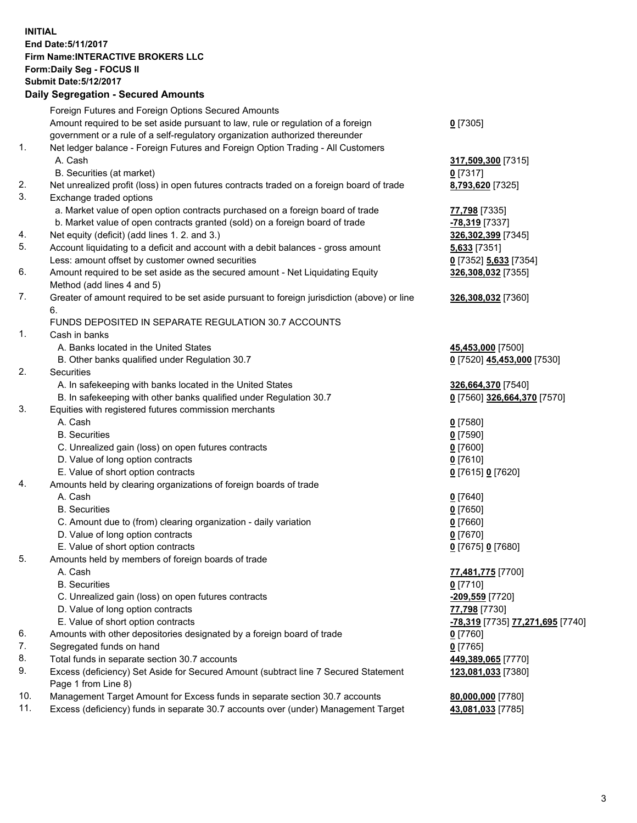## **INITIAL End Date:5/11/2017 Firm Name:INTERACTIVE BROKERS LLC Form:Daily Seg - FOCUS II Submit Date:5/12/2017 Daily Segregation - Secured Amounts**

|     | Dany Ocgregation - Oceanea Annoante                                                                        |                                               |
|-----|------------------------------------------------------------------------------------------------------------|-----------------------------------------------|
|     | Foreign Futures and Foreign Options Secured Amounts                                                        |                                               |
|     | Amount required to be set aside pursuant to law, rule or regulation of a foreign                           | $0$ [7305]                                    |
|     | government or a rule of a self-regulatory organization authorized thereunder                               |                                               |
| 1.  | Net ledger balance - Foreign Futures and Foreign Option Trading - All Customers                            |                                               |
|     | A. Cash                                                                                                    | 317,509,300 [7315]                            |
|     | B. Securities (at market)                                                                                  | $0$ [7317]                                    |
| 2.  | Net unrealized profit (loss) in open futures contracts traded on a foreign board of trade                  | 8,793,620 [7325]                              |
| 3.  | Exchange traded options                                                                                    |                                               |
|     | a. Market value of open option contracts purchased on a foreign board of trade                             | 77,798 [7335]                                 |
|     | b. Market value of open contracts granted (sold) on a foreign board of trade                               | $-78,319$ [7337]                              |
| 4.  | Net equity (deficit) (add lines 1.2. and 3.)                                                               | 326,302,399 [7345]                            |
| 5.  | Account liquidating to a deficit and account with a debit balances - gross amount                          | <b>5,633</b> [7351]                           |
|     | Less: amount offset by customer owned securities                                                           | 0 [7352] 5,633 [7354]                         |
| 6.  | Amount required to be set aside as the secured amount - Net Liquidating Equity                             | 326,308,032 [7355]                            |
|     | Method (add lines 4 and 5)                                                                                 |                                               |
| 7.  | Greater of amount required to be set aside pursuant to foreign jurisdiction (above) or line                | 326,308,032 [7360]                            |
|     | 6.                                                                                                         |                                               |
|     | FUNDS DEPOSITED IN SEPARATE REGULATION 30.7 ACCOUNTS                                                       |                                               |
| 1.  | Cash in banks                                                                                              |                                               |
|     | A. Banks located in the United States                                                                      | 45,453,000 [7500]                             |
|     | B. Other banks qualified under Regulation 30.7                                                             | 0 [7520] 45,453,000 [7530]                    |
| 2.  | <b>Securities</b>                                                                                          |                                               |
|     | A. In safekeeping with banks located in the United States                                                  | 326,664,370 [7540]                            |
|     | B. In safekeeping with other banks qualified under Regulation 30.7                                         | 0 [7560] 326,664,370 [7570]                   |
| 3.  | Equities with registered futures commission merchants                                                      |                                               |
|     | A. Cash                                                                                                    | $0$ [7580]                                    |
|     | <b>B.</b> Securities                                                                                       | $0$ [7590]                                    |
|     | C. Unrealized gain (loss) on open futures contracts                                                        | $0$ [7600]                                    |
|     | D. Value of long option contracts                                                                          | $0$ [7610]                                    |
|     | E. Value of short option contracts                                                                         | 0 [7615] 0 [7620]                             |
| 4.  | Amounts held by clearing organizations of foreign boards of trade                                          |                                               |
|     | A. Cash                                                                                                    | $0$ [7640]                                    |
|     | <b>B.</b> Securities                                                                                       | $0$ [7650]                                    |
|     | C. Amount due to (from) clearing organization - daily variation                                            | $0$ [7660]                                    |
|     | D. Value of long option contracts                                                                          | $0$ [7670]                                    |
|     | E. Value of short option contracts                                                                         | 0 [7675] 0 [7680]                             |
| 5.  | Amounts held by members of foreign boards of trade                                                         |                                               |
|     | A. Cash                                                                                                    | 77,481,775 [7700]                             |
|     | <b>B.</b> Securities                                                                                       | $0$ [7710]                                    |
|     | C. Unrealized gain (loss) on open futures contracts                                                        | -209,559 [7720]                               |
|     | D. Value of long option contracts                                                                          | 77,798 [7730]                                 |
|     | E. Value of short option contracts                                                                         | <mark>-78,319</mark> [7735] 77,271,695 [7740] |
| 6.  | Amounts with other depositories designated by a foreign board of trade                                     | $0$ [7760]                                    |
| 7.  | Segregated funds on hand                                                                                   | $0$ [7765]                                    |
| 8.  | Total funds in separate section 30.7 accounts                                                              | 449,389,065 [7770]                            |
| 9.  | Excess (deficiency) Set Aside for Secured Amount (subtract line 7 Secured Statement<br>Page 1 from Line 8) | 123,081,033 [7380]                            |
| 10. | Management Target Amount for Excess funds in separate section 30.7 accounts                                | 80,000,000 [7780]                             |
| 11. | Excess (deficiency) funds in separate 30.7 accounts over (under) Management Target                         | 43,081,033 [7785]                             |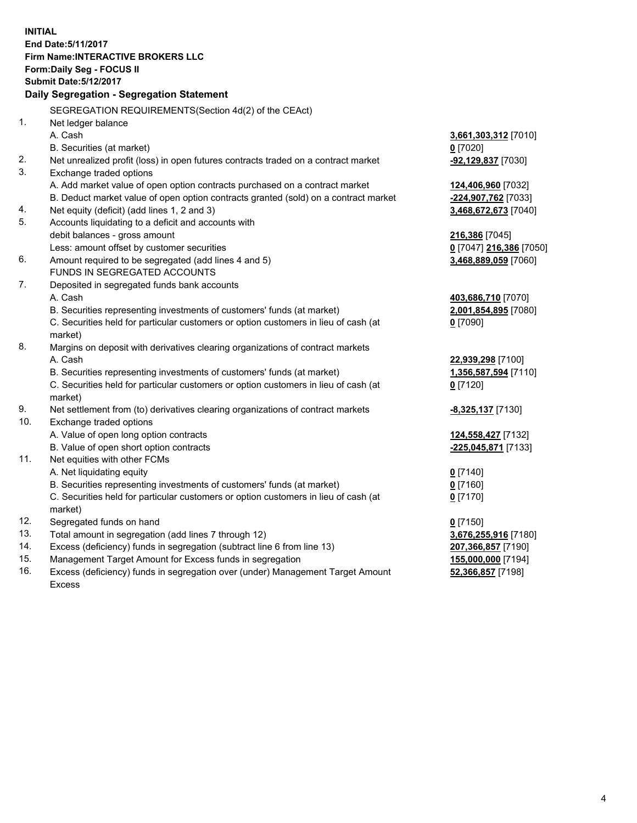**INITIAL End Date:5/11/2017 Firm Name:INTERACTIVE BROKERS LLC Form:Daily Seg - FOCUS II Submit Date:5/12/2017 Daily Segregation - Segregation Statement** SEGREGATION REQUIREMENTS(Section 4d(2) of the CEAct) 1. Net ledger balance A. Cash **3,661,303,312** [7010] B. Securities (at market) **0** [7020] 2. Net unrealized profit (loss) in open futures contracts traded on a contract market **-92,129,837** [7030] 3. Exchange traded options A. Add market value of open option contracts purchased on a contract market **124,406,960** [7032] B. Deduct market value of open option contracts granted (sold) on a contract market **-224,907,762** [7033] 4. Net equity (deficit) (add lines 1, 2 and 3) **3,468,672,673** [7040] 5. Accounts liquidating to a deficit and accounts with debit balances - gross amount **216,386** [7045] Less: amount offset by customer securities **0** [7047] **216,386** [7050] 6. Amount required to be segregated (add lines 4 and 5) **3,468,889,059** [7060] FUNDS IN SEGREGATED ACCOUNTS 7. Deposited in segregated funds bank accounts A. Cash **403,686,710** [7070] B. Securities representing investments of customers' funds (at market) **2,001,854,895** [7080] C. Securities held for particular customers or option customers in lieu of cash (at market) **0** [7090] 8. Margins on deposit with derivatives clearing organizations of contract markets A. Cash **22,939,298** [7100] B. Securities representing investments of customers' funds (at market) **1,356,587,594** [7110] C. Securities held for particular customers or option customers in lieu of cash (at market) **0** [7120] 9. Net settlement from (to) derivatives clearing organizations of contract markets **-8,325,137** [7130] 10. Exchange traded options A. Value of open long option contracts **124,558,427** [7132] B. Value of open short option contracts **-225,045,871** [7133] 11. Net equities with other FCMs A. Net liquidating equity **0** [7140] B. Securities representing investments of customers' funds (at market) **0** [7160] C. Securities held for particular customers or option customers in lieu of cash (at market) **0** [7170] 12. Segregated funds on hand **0** [7150] 13. Total amount in segregation (add lines 7 through 12) **3,676,255,916** [7180] 14. Excess (deficiency) funds in segregation (subtract line 6 from line 13) **207,366,857** [7190] 15. Management Target Amount for Excess funds in segregation **155,000,000** [7194]

16. Excess (deficiency) funds in segregation over (under) Management Target Amount Excess

**52,366,857** [7198]